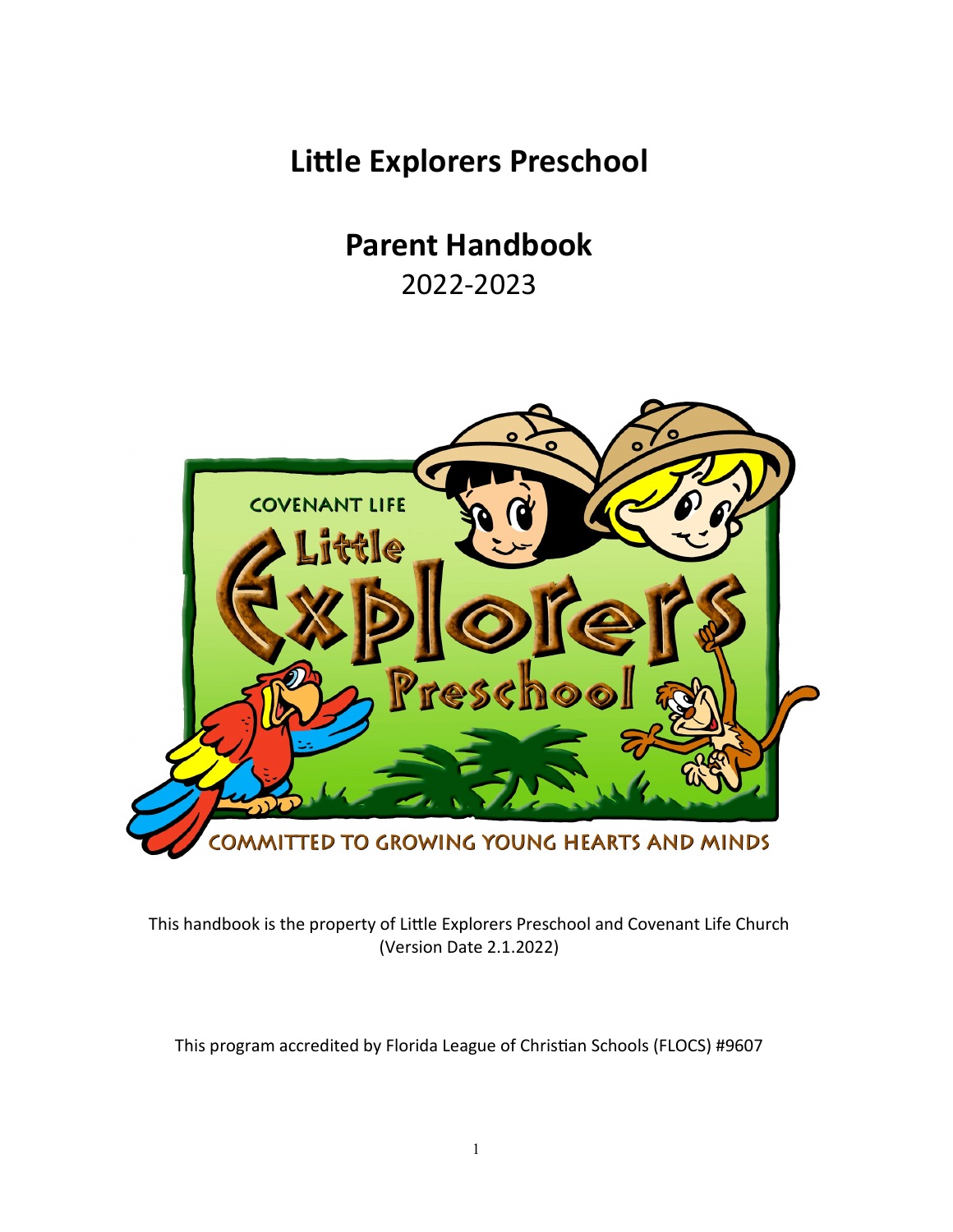**Little Explorers Preschool** 

**Parent Handbook** 

2022-2023



This handbook is the property of Little Explorers Preschool and Covenant Life Church (Version Date 2.1.2022)

This program accredited by Florida League of Christian Schools (FLOCS) #9607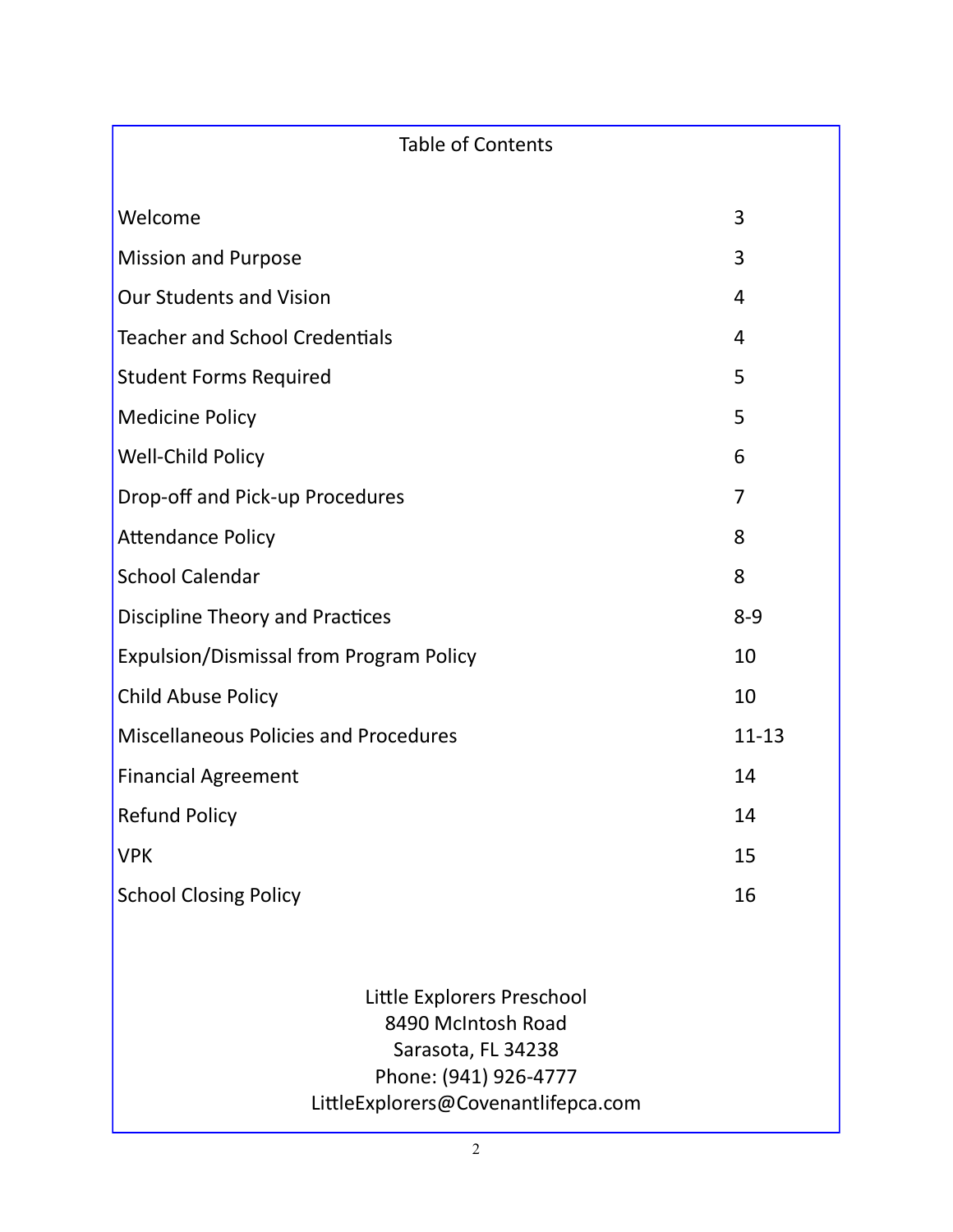| <b>Table of Contents</b>                                               |                |
|------------------------------------------------------------------------|----------------|
| Welcome                                                                | 3              |
| <b>Mission and Purpose</b>                                             | 3              |
| <b>Our Students and Vision</b>                                         | 4              |
| <b>Teacher and School Credentials</b>                                  | $\overline{4}$ |
| <b>Student Forms Required</b>                                          | 5              |
| <b>Medicine Policy</b>                                                 | 5              |
| Well-Child Policy                                                      | 6              |
| Drop-off and Pick-up Procedures                                        | 7              |
| <b>Attendance Policy</b>                                               | 8              |
| <b>School Calendar</b>                                                 | 8              |
| <b>Discipline Theory and Practices</b>                                 | $8 - 9$        |
| <b>Expulsion/Dismissal from Program Policy</b>                         | 10             |
| <b>Child Abuse Policy</b>                                              | 10             |
| <b>Miscellaneous Policies and Procedures</b>                           | $11 - 13$      |
| <b>Financial Agreement</b>                                             | 14             |
| <b>Refund Policy</b>                                                   | 14             |
| <b>VPK</b>                                                             | 15             |
| <b>School Closing Policy</b>                                           | 16             |
|                                                                        |                |
| Little Explorers Preschool<br>8490 McIntosh Road<br>$Sarcotz$ El 34238 |                |

Sarasota, FL 34238 Phone: (941) 926-4777

LittleExplorers@Covenantlifepca.com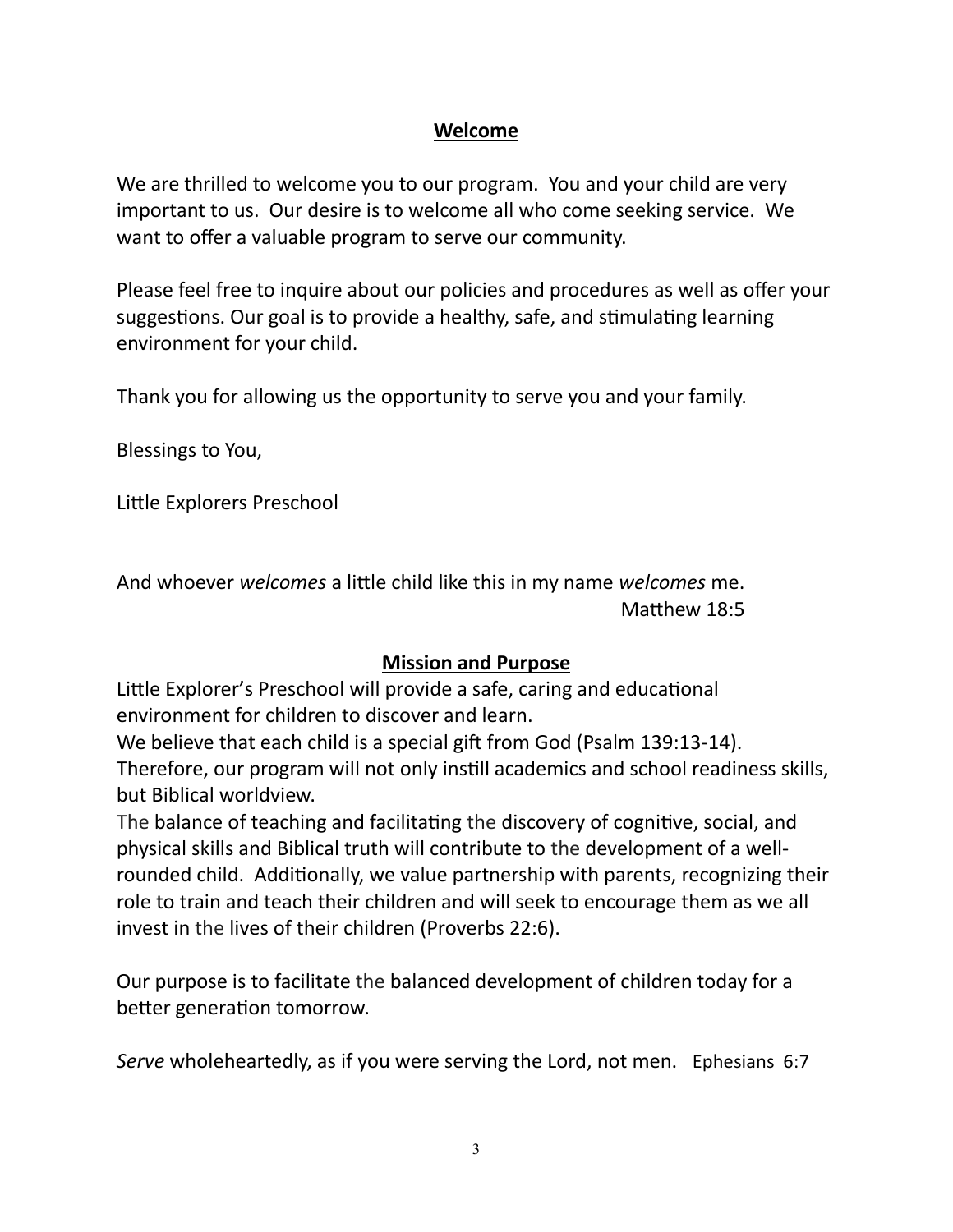### **Welcome**

We are thrilled to welcome you to our program. You and your child are very important to us. Our desire is to welcome all who come seeking service. We want to offer a valuable program to serve our community.

Please feel free to inquire about our policies and procedures as well as offer your suggestions. Our goal is to provide a healthy, safe, and stimulating learning environment for your child.

Thank you for allowing us the opportunity to serve you and your family.

Blessings to You,

Little Explorers Preschool

And whoever *welcomes* a little child like this in my name *welcomes* me. Matthew 18:5

### **Mission and Purpose**

Little Explorer's Preschool will provide a safe, caring and educational environment for children to discover and learn.

We believe that each child is a special gift from God (Psalm 139:13-14).

Therefore, our program will not only instill academics and school readiness skills, but Biblical worldview.

The balance of teaching and facilitating the discovery of cognitive, social, and physical skills and Biblical truth will contribute to the development of a wellrounded child. Additionally, we value partnership with parents, recognizing their role to train and teach their children and will seek to encourage them as we all invest in the lives of their children (Proverbs 22:6).

Our purpose is to facilitate the balanced development of children today for a better generation tomorrow.

*Serve* wholeheartedly, as if you were serving the Lord, not men. Ephesians 6:7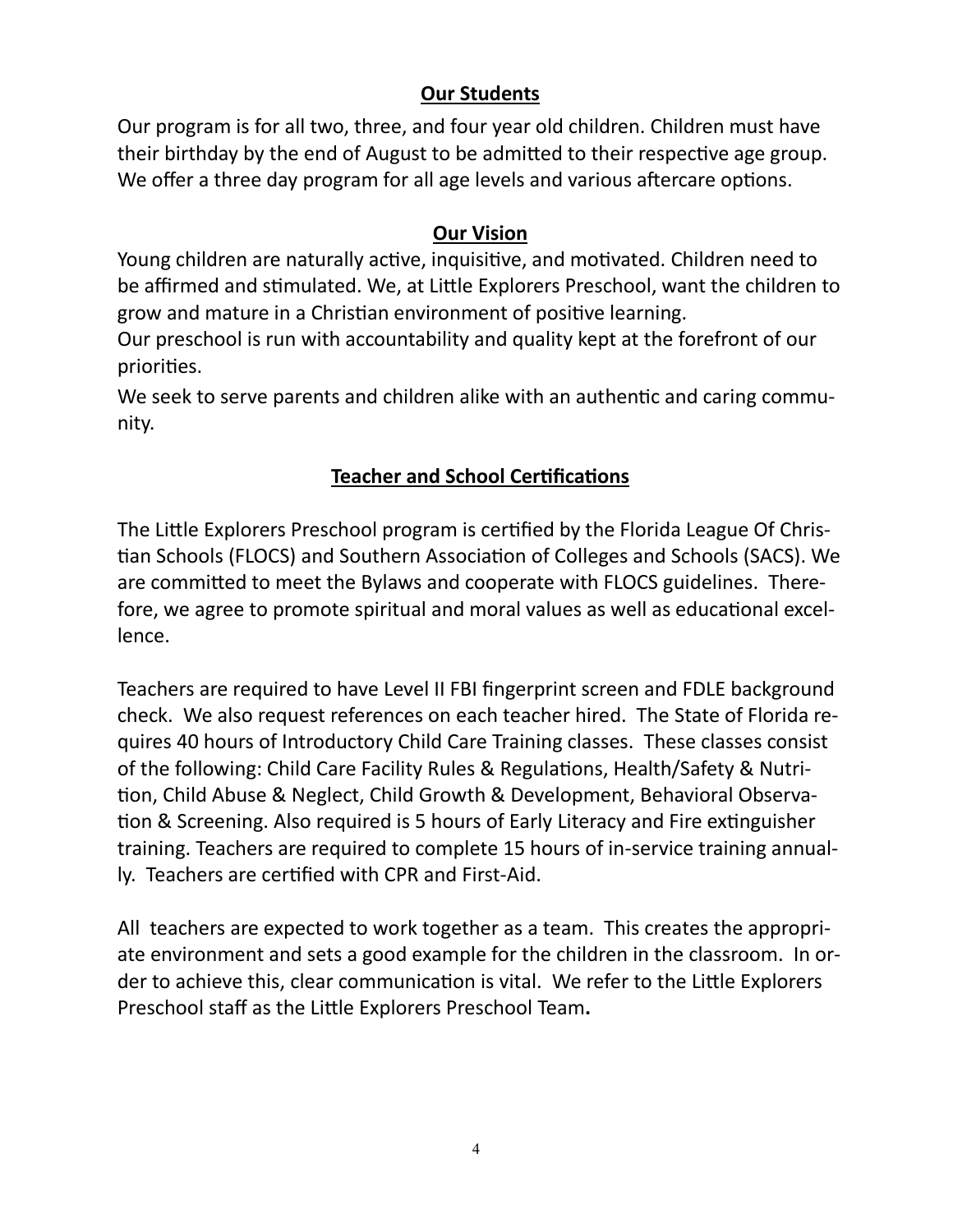# **Our Students**

Our program is for all two, three, and four year old children. Children must have their birthday by the end of August to be admitted to their respective age group. We offer a three day program for all age levels and various aftercare options.

# **Our Vision**

Young children are naturally active, inquisitive, and motivated. Children need to be affirmed and stimulated. We, at Little Explorers Preschool, want the children to grow and mature in a Christian environment of positive learning.

Our preschool is run with accountability and quality kept at the forefront of our priorities.

We seek to serve parents and children alike with an authentic and caring community.

# **Teacher and School Certifications**

The Little Explorers Preschool program is certified by the Florida League Of Christian Schools (FLOCS) and [Southern Association of Colleges and Schools](http://www.sacs.org/) (SACS). We are committed to meet the Bylaws and cooperate with FLOCS guidelines. Therefore, we agree to promote spiritual and moral values as well as educational excellence.

Teachers are required to have Level II FBI fingerprint screen and FDLE background check. We also request references on each teacher hired. The State of Florida requires 40 hours of Introductory Child Care Training classes. These classes consist of the following: Child Care Facility Rules & Regulations, Health/Safety & Nutrition, Child Abuse & Neglect, Child Growth & Development, Behavioral Observation & Screening. Also required is 5 hours of Early Literacy and Fire extinguisher training. Teachers are required to complete 15 hours of in-service training annually. Teachers are certified with CPR and First-Aid.

All teachers are expected to work together as a team. This creates the appropriate environment and sets a good example for the children in the classroom. In order to achieve this, clear communication is vital. We refer to the Little Explorers Preschool staff as the Little Explorers Preschool Team**.**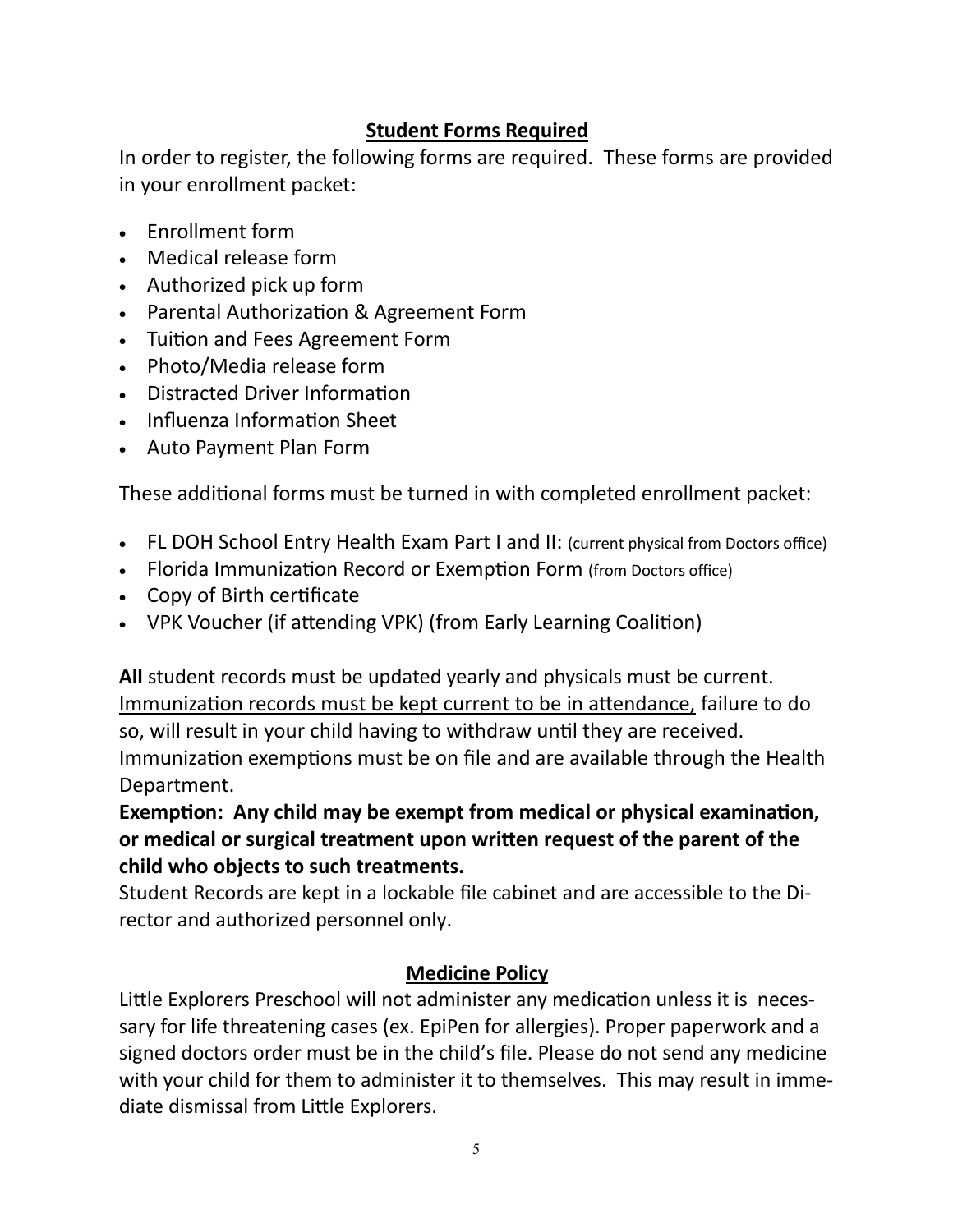# **Student Forms Required**

In order to register, the following forms are required. These forms are provided in your enrollment packet:

- Enrollment form
- Medical release form
- Authorized pick up form
- Parental Authorization & Agreement Form
- Tuition and Fees Agreement Form
- Photo/Media release form
- Distracted Driver Information
- Influenza Information Sheet
- Auto Payment Plan Form

These additional forms must be turned in with completed enrollment packet:

- FL DOH School Entry Health Exam Part I and II: (current physical from Doctors office)
- Florida Immunization Record or Exemption Form (from Doctors office)
- Copy of Birth certificate
- VPK Voucher (if attending VPK) (from Early Learning Coalition)

**All** student records must be updated yearly and physicals must be current. Immunization records must be kept current to be in attendance, failure to do so, will result in your child having to withdraw until they are received. Immunization exemptions must be on file and are available through the Health Department.

**Exemption: Any child may be exempt from medical or physical examination, or medical or surgical treatment upon written request of the parent of the child who objects to such treatments.**

Student Records are kept in a lockable file cabinet and are accessible to the Director and authorized personnel only.

### **Medicine Policy**

Little Explorers Preschool will not administer any medication unless it is necessary for life threatening cases (ex. EpiPen for allergies). Proper paperwork and a signed doctors order must be in the child's file. Please do not send any medicine with your child for them to administer it to themselves. This may result in immediate dismissal from Little Explorers.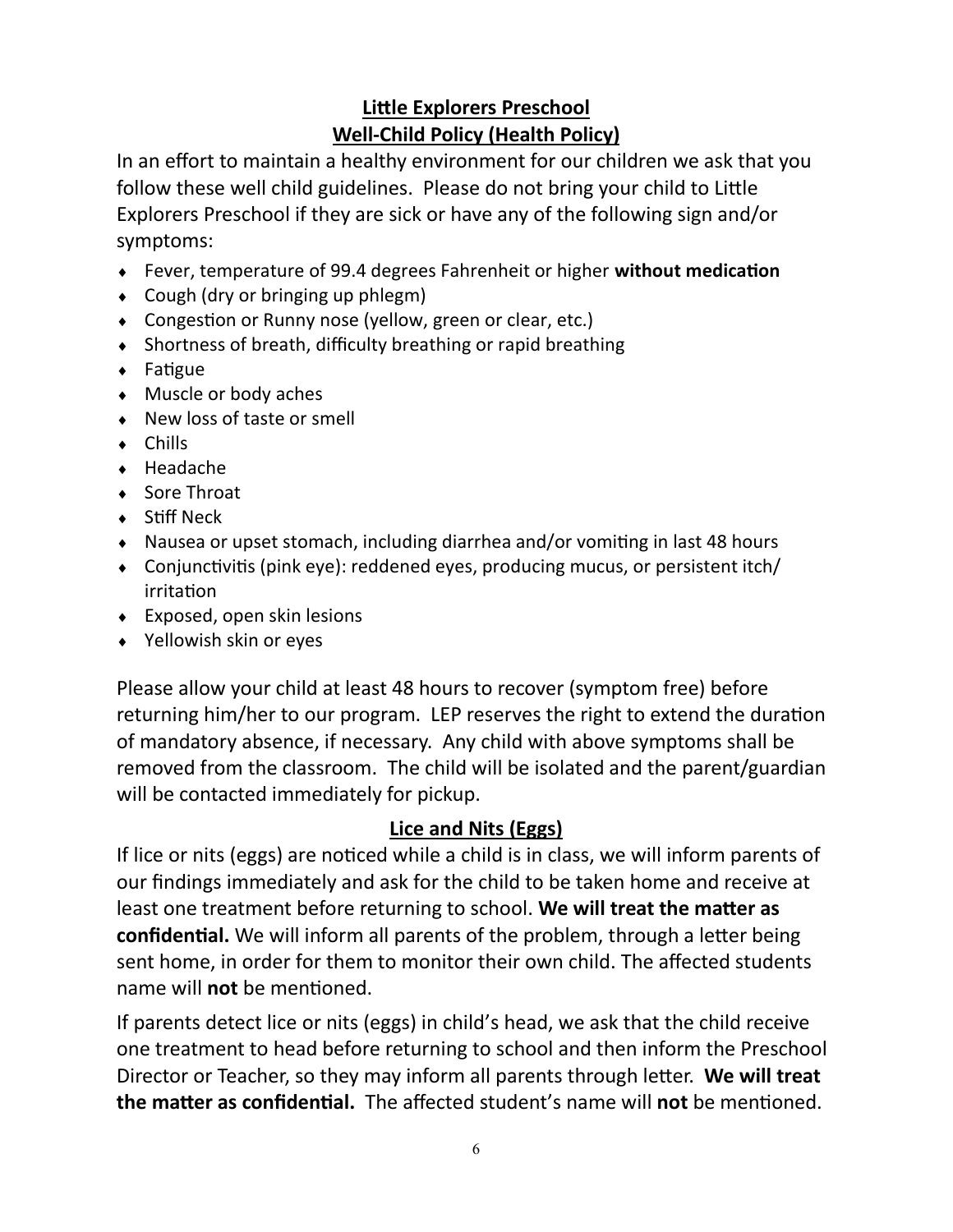# **Little Explorers Preschool Well-Child Policy (Health Policy)**

In an effort to maintain a healthy environment for our children we ask that you follow these well child guidelines. Please do not bring your child to Little Explorers Preschool if they are sick or have any of the following sign and/or symptoms:

- Fever, temperature of 99.4 degrees Fahrenheit or higher **without medication**
- Cough (dry or bringing up phlegm)
- Congestion or Runny nose (yellow, green or clear, etc.)
- Shortness of breath, difficulty breathing or rapid breathing
- Fatigue
- ◆ Muscle or body aches
- ◆ New loss of taste or smell
- Chills
- ◆ Headache
- ◆ Sore Throat
- ◆ Stiff Neck
- Nausea or upset stomach, including diarrhea and/or vomiting in last 48 hours
- Conjunctivitis (pink eye): reddened eyes, producing mucus, or persistent itch/ irritation
- Exposed, open skin lesions
- Yellowish skin or eyes

Please allow your child at least 48 hours to recover (symptom free) before returning him/her to our program. LEP reserves the right to extend the duration of mandatory absence, if necessary. Any child with above symptoms shall be removed from the classroom. The child will be isolated and the parent/guardian will be contacted immediately for pickup.

# **Lice and Nits (Eggs)**

If lice or nits (eggs) are noticed while a child is in class, we will inform parents of our findings immediately and ask for the child to be taken home and receive at least one treatment before returning to school. **We will treat the matter as confidential.** We will inform all parents of the problem, through a letter being sent home, in order for them to monitor their own child. The affected students name will **not** be mentioned.

If parents detect lice or nits (eggs) in child's head, we ask that the child receive one treatment to head before returning to school and then inform the Preschool Director or Teacher, so they may inform all parents through letter. **We will treat the matter as confidential.** The affected student's name will **not** be mentioned.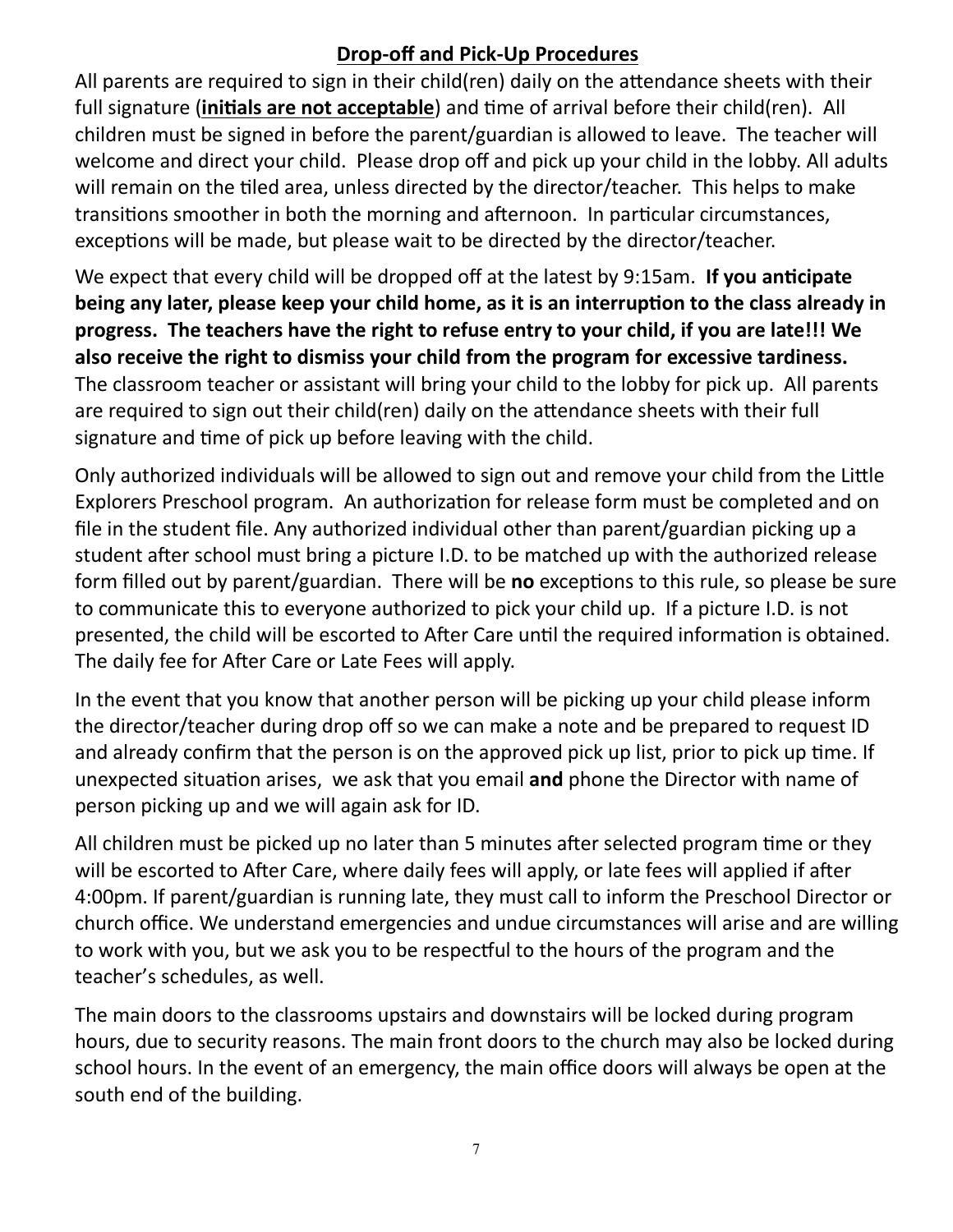# **Drop-off and Pick-Up Procedures**

All parents are required to sign in their child(ren) daily on the attendance sheets with their full signature (**initials are not acceptable**) and time of arrival before their child(ren). All children must be signed in before the parent/guardian is allowed to leave. The teacher will welcome and direct your child. Please drop off and pick up your child in the lobby. All adults will remain on the tiled area, unless directed by the director/teacher. This helps to make transitions smoother in both the morning and afternoon. In particular circumstances, exceptions will be made, but please wait to be directed by the director/teacher.

We expect that every child will be dropped off at the latest by 9:15am. **If you anticipate being any later, please keep your child home, as it is an interruption to the class already in progress. The teachers have the right to refuse entry to your child, if you are late!!! We also receive the right to dismiss your child from the program for excessive tardiness.**  The classroom teacher or assistant will bring your child to the lobby for pick up. All parents are required to sign out their child(ren) daily on the attendance sheets with their full signature and time of pick up before leaving with the child.

Only authorized individuals will be allowed to sign out and remove your child from the Little Explorers Preschool program. An authorization for release form must be completed and on file in the student file. Any authorized individual other than parent/guardian picking up a student after school must bring a picture I.D. to be matched up with the authorized release form filled out by parent/guardian. There will be **no** exceptions to this rule, so please be sure to communicate this to everyone authorized to pick your child up. If a picture I.D. is not presented, the child will be escorted to After Care until the required information is obtained. The daily fee for After Care or Late Fees will apply.

In the event that you know that another person will be picking up your child please inform the director/teacher during drop off so we can make a note and be prepared to request ID and already confirm that the person is on the approved pick up list, prior to pick up time. If unexpected situation arises, we ask that you email **and** phone the Director with name of person picking up and we will again ask for ID.

All children must be picked up no later than 5 minutes after selected program time or they will be escorted to After Care, where daily fees will apply, or late fees will applied if after 4:00pm. If parent/guardian is running late, they must call to inform the Preschool Director or church office. We understand emergencies and undue circumstances will arise and are willing to work with you, but we ask you to be respectful to the hours of the program and the teacher's schedules, as well.

The main doors to the classrooms upstairs and downstairs will be locked during program hours, due to security reasons. The main front doors to the church may also be locked during school hours. In the event of an emergency, the main office doors will always be open at the south end of the building.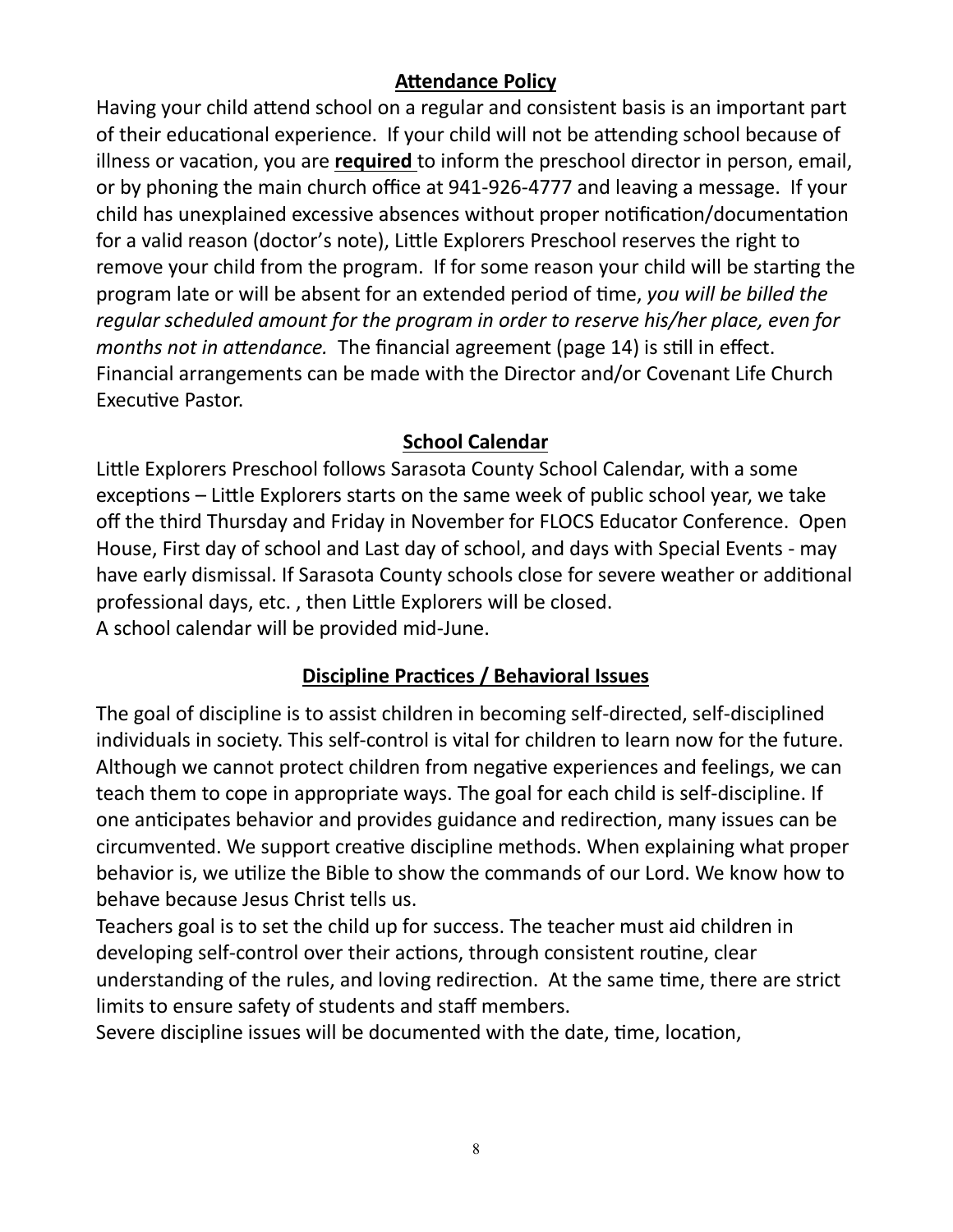### **Attendance Policy**

Having your child attend school on a regular and consistent basis is an important part of their educational experience. If your child will not be attending school because of illness or vacation, you are **required** to inform the preschool director in person, email, or by phoning the main church office at 941-926-4777 and leaving a message. If your child has unexplained excessive absences without proper notification/documentation for a valid reason (doctor's note), Little Explorers Preschool reserves the right to remove your child from the program. If for some reason your child will be starting the program late or will be absent for an extended period of time, *you will be billed the regular scheduled amount for the program in order to reserve his/her place, even for months not in attendance.* The financial agreement (page 14) is still in effect. Financial arrangements can be made with the Director and/or Covenant Life Church Executive Pastor.

# **School Calendar**

Little Explorers Preschool follows Sarasota County School Calendar, with a some exceptions – Little Explorers starts on the same week of public school year, we take off the third Thursday and Friday in November for FLOCS Educator Conference. Open House, First day of school and Last day of school, and days with Special Events - may have early dismissal. If Sarasota County schools close for severe weather or additional professional days, etc. , then Little Explorers will be closed. A school calendar will be provided mid-June.

# **Discipline Practices / Behavioral Issues**

The goal of discipline is to assist children in becoming self-directed, self-disciplined individuals in society. This self-control is vital for children to learn now for the future. Although we cannot protect children from negative experiences and feelings, we can teach them to cope in appropriate ways. The goal for each child is self-discipline. If one anticipates behavior and provides guidance and redirection, many issues can be circumvented. We support creative discipline methods. When explaining what proper behavior is, we utilize the Bible to show the commands of our Lord. We know how to behave because Jesus Christ tells us.

Teachers goal is to set the child up for success. The teacher must aid children in developing self-control over their actions, through consistent routine, clear understanding of the rules, and loving redirection. At the same time, there are strict limits to ensure safety of students and staff members.

Severe discipline issues will be documented with the date, time, location,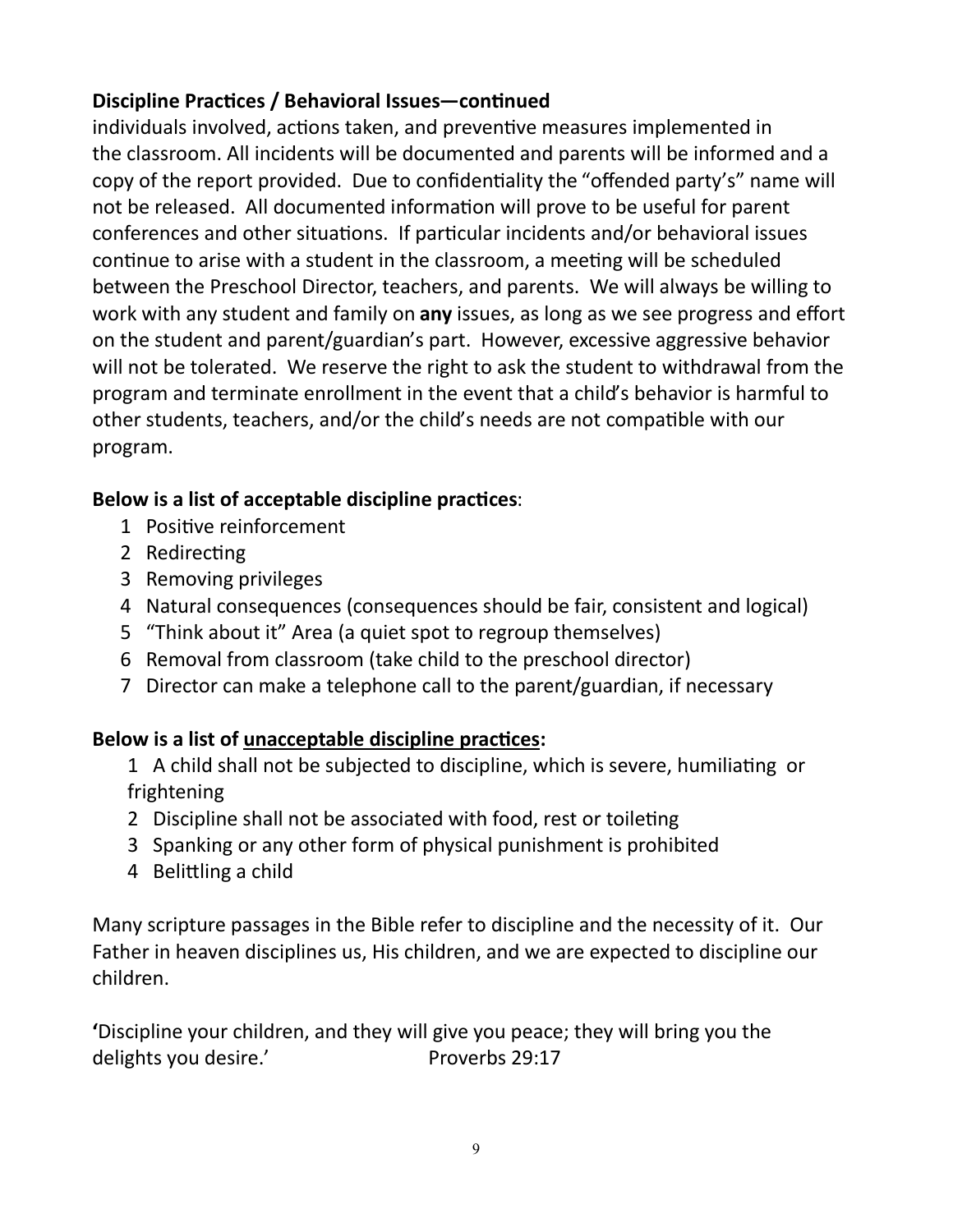# **Discipline Practices / Behavioral Issues—continued**

individuals involved, actions taken, and preventive measures implemented in the classroom. All incidents will be documented and parents will be informed and a copy of the report provided. Due to confidentiality the "offended party's" name will not be released. All documented information will prove to be useful for parent conferences and other situations. If particular incidents and/or behavioral issues continue to arise with a student in the classroom, a meeting will be scheduled between the Preschool Director, teachers, and parents. We will always be willing to work with any student and family on **any** issues, as long as we see progress and effort on the student and parent/guardian's part. However, excessive aggressive behavior will not be tolerated. We reserve the right to ask the student to withdrawal from the program and terminate enrollment in the event that a child's behavior is harmful to other students, teachers, and/or the child's needs are not compatible with our program.

# **Below is a list of acceptable discipline practices**:

- 1 Positive reinforcement
- 2 Redirecting
- 3 Removing privileges
- 4 Natural consequences (consequences should be fair, consistent and logical)
- 5 "Think about it" Area (a quiet spot to regroup themselves)
- 6 Removal from classroom (take child to the preschool director)
- 7 Director can make a telephone call to the parent/guardian, if necessary

# **Below is a list of unacceptable discipline practices:**

- 1 A child shall not be subjected to discipline, which is severe, humiliating or frightening
- 2 Discipline shall not be associated with food, rest or toileting
- 3 Spanking or any other form of physical punishment is prohibited
- 4 Belittling a child

Many scripture passages in the Bible refer to discipline and the necessity of it. Our Father in heaven disciplines us, His children, and we are expected to discipline our children.

**'**Discipline your children, and they will give you peace; they will bring you the delights you desire.' Proverbs 29:17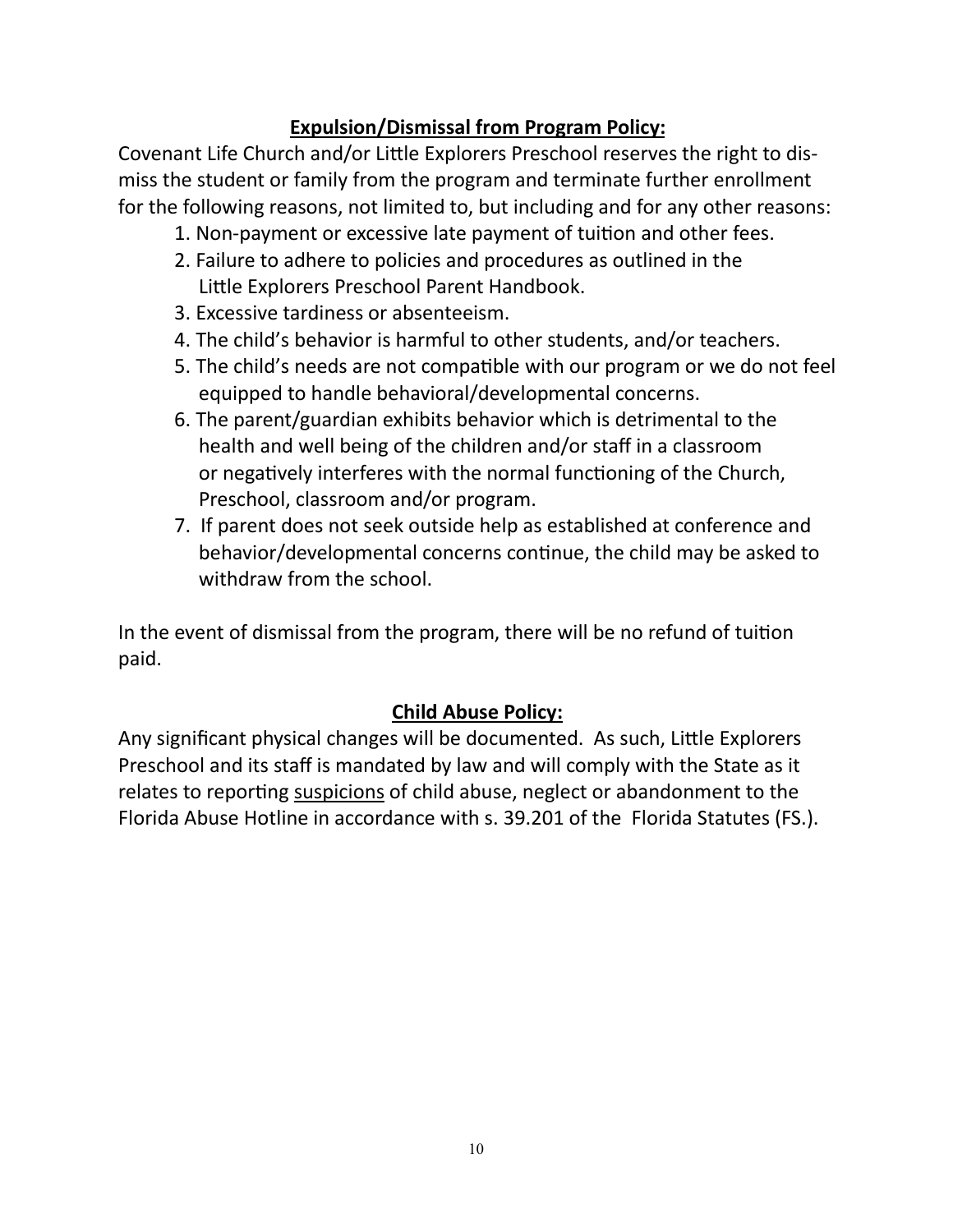# **Expulsion/Dismissal from Program Policy:**

Covenant Life Church and/or Little Explorers Preschool reserves the right to dismiss the student or family from the program and terminate further enrollment for the following reasons, not limited to, but including and for any other reasons:

- 1. Non-payment or excessive late payment of tuition and other fees.
- 2. Failure to adhere to policies and procedures as outlined in the Little Explorers Preschool Parent Handbook.
- 3. Excessive tardiness or absenteeism.
- 4. The child's behavior is harmful to other students, and/or teachers.
- 5. The child's needs are not compatible with our program or we do not feel equipped to handle behavioral/developmental concerns.
- 6. The parent/guardian exhibits behavior which is detrimental to the health and well being of the children and/or staff in a classroom or negatively interferes with the normal functioning of the Church, Preschool, classroom and/or program.
- 7. If parent does not seek outside help as established at conference and behavior/developmental concerns continue, the child may be asked to withdraw from the school.

In the event of dismissal from the program, there will be no refund of tuition paid.

### **Child Abuse Policy:**

Any significant physical changes will be documented. As such, Little Explorers Preschool and its staff is mandated by law and will comply with the State as it relates to reporting suspicions of child abuse, neglect or abandonment to the Florida Abuse Hotline in accordance with s. 39.201 of the Florida Statutes (FS.).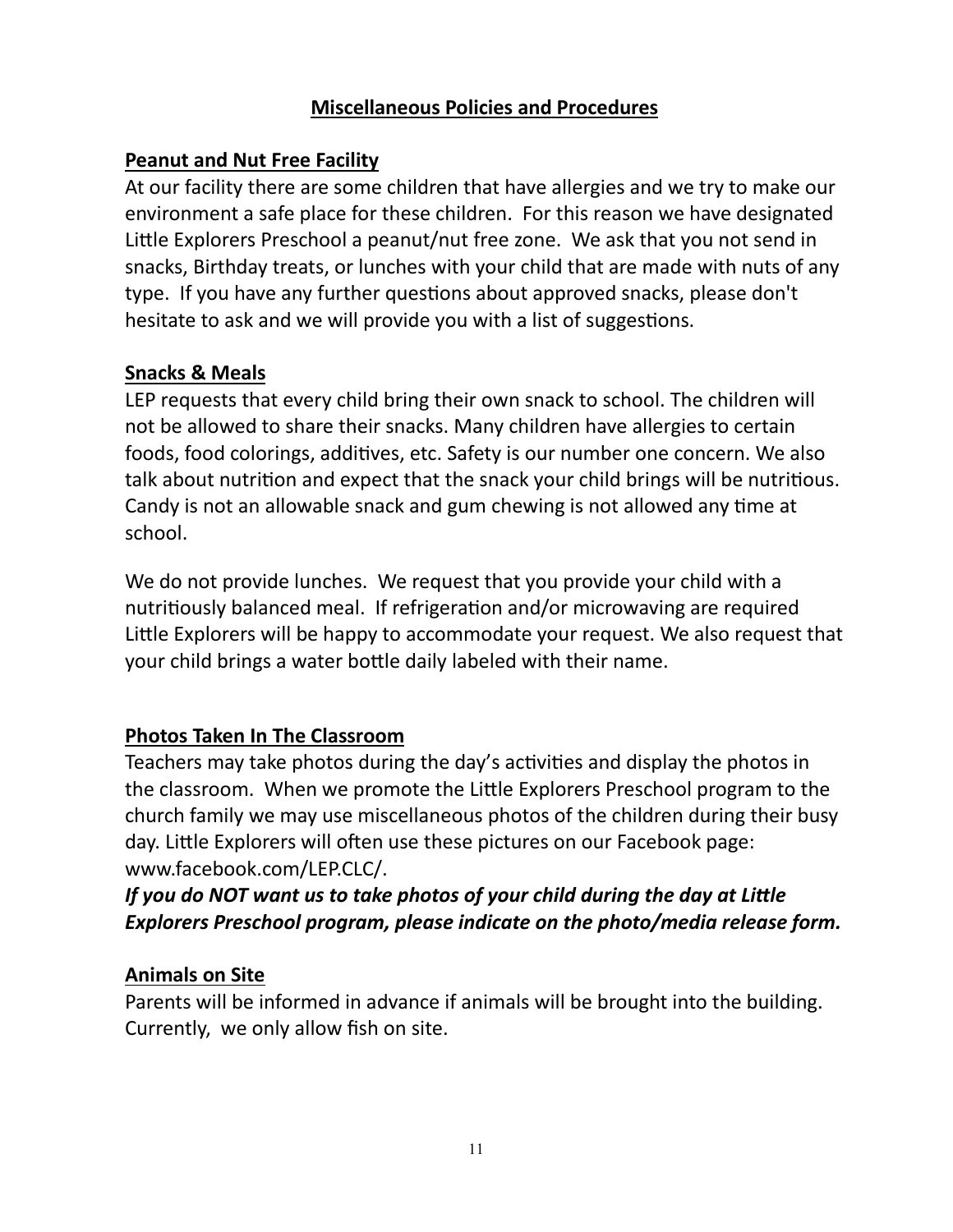### **Miscellaneous Policies and Procedures**

### **Peanut and Nut Free Facility**

At our facility there are some children that have allergies and we try to make our environment a safe place for these children. For this reason we have designated Little Explorers Preschool a peanut/nut free zone. We ask that you not send in snacks, Birthday treats, or lunches with your child that are made with nuts of any type. If you have any further questions about approved snacks, please don't hesitate to ask and we will provide you with a list of suggestions.

#### **Snacks & Meals**

LEP requests that every child bring their own snack to school. The children will not be allowed to share their snacks. Many children have allergies to certain foods, food colorings, additives, etc. Safety is our number one concern. We also talk about nutrition and expect that the snack your child brings will be nutritious. Candy is not an allowable snack and gum chewing is not allowed any time at school.

We do not provide lunches. We request that you provide your child with a nutritiously balanced meal. If refrigeration and/or microwaving are required Little Explorers will be happy to accommodate your request. We also request that your child brings a water bottle daily labeled with their name.

### **Photos Taken In The Classroom**

Teachers may take photos during the day's activities and display the photos in the classroom. When we promote the Little Explorers Preschool program to the church family we may use miscellaneous photos of the children during their busy day. Little Explorers will often use these pictures on our Facebook page: www.facebook.com/LEP.CLC/.

# *If you do NOT want us to take photos of your child during the day at Little Explorers Preschool program, please indicate on the photo/media release form.*

### **Animals on Site**

Parents will be informed in advance if animals will be brought into the building. Currently, we only allow fish on site.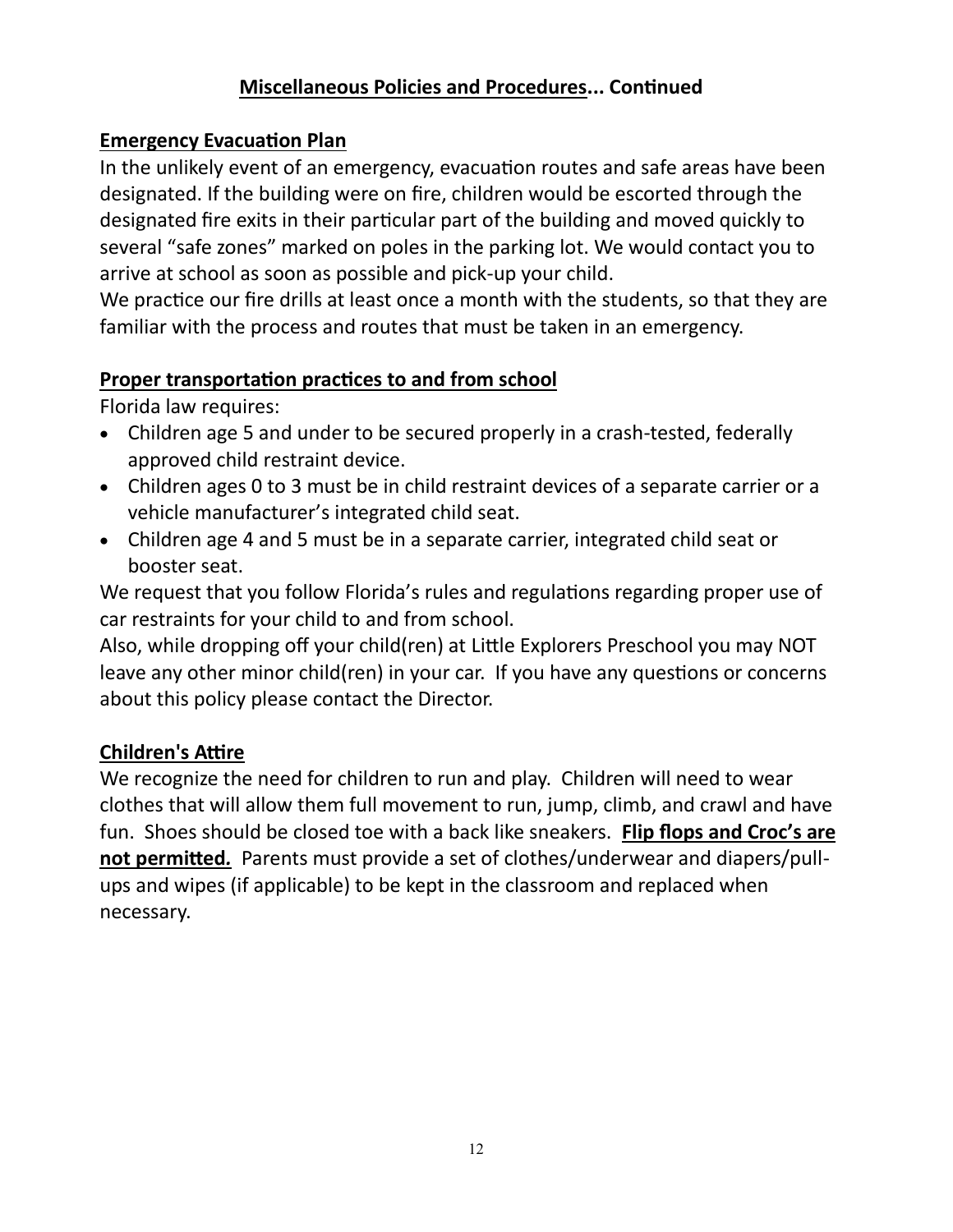### **Miscellaneous Policies and Procedures... Continued**

### **Emergency Evacuation Plan**

In the unlikely event of an emergency, evacuation routes and safe areas have been designated. If the building were on fire, children would be escorted through the designated fire exits in their particular part of the building and moved quickly to several "safe zones" marked on poles in the parking lot. We would contact you to arrive at school as soon as possible and pick-up your child.

We practice our fire drills at least once a month with the students, so that they are familiar with the process and routes that must be taken in an emergency.

### **Proper transportation practices to and from school**

Florida law requires:

- Children age 5 and under to be secured properly in a crash-tested, federally approved child restraint device.
- Children ages 0 to 3 must be in child restraint devices of a separate carrier or a vehicle manufacturer's integrated child seat.
- Children age 4 and 5 must be in a separate carrier, integrated child seat or booster seat.

We request that you follow Florida's rules and regulations regarding proper use of car restraints for your child to and from school.

Also, while dropping off your child(ren) at Little Explorers Preschool you may NOT leave any other minor child(ren) in your car. If you have any questions or concerns about this policy please contact the Director.

### **Children's Attire**

We recognize the need for children to run and play. Children will need to wear clothes that will allow them full movement to run, jump, climb, and crawl and have fun. Shoes should be closed toe with a back like sneakers. **Flip flops and Croc's are not permitted***.* Parents must provide a set of clothes/underwear and diapers/pullups and wipes (if applicable) to be kept in the classroom and replaced when necessary.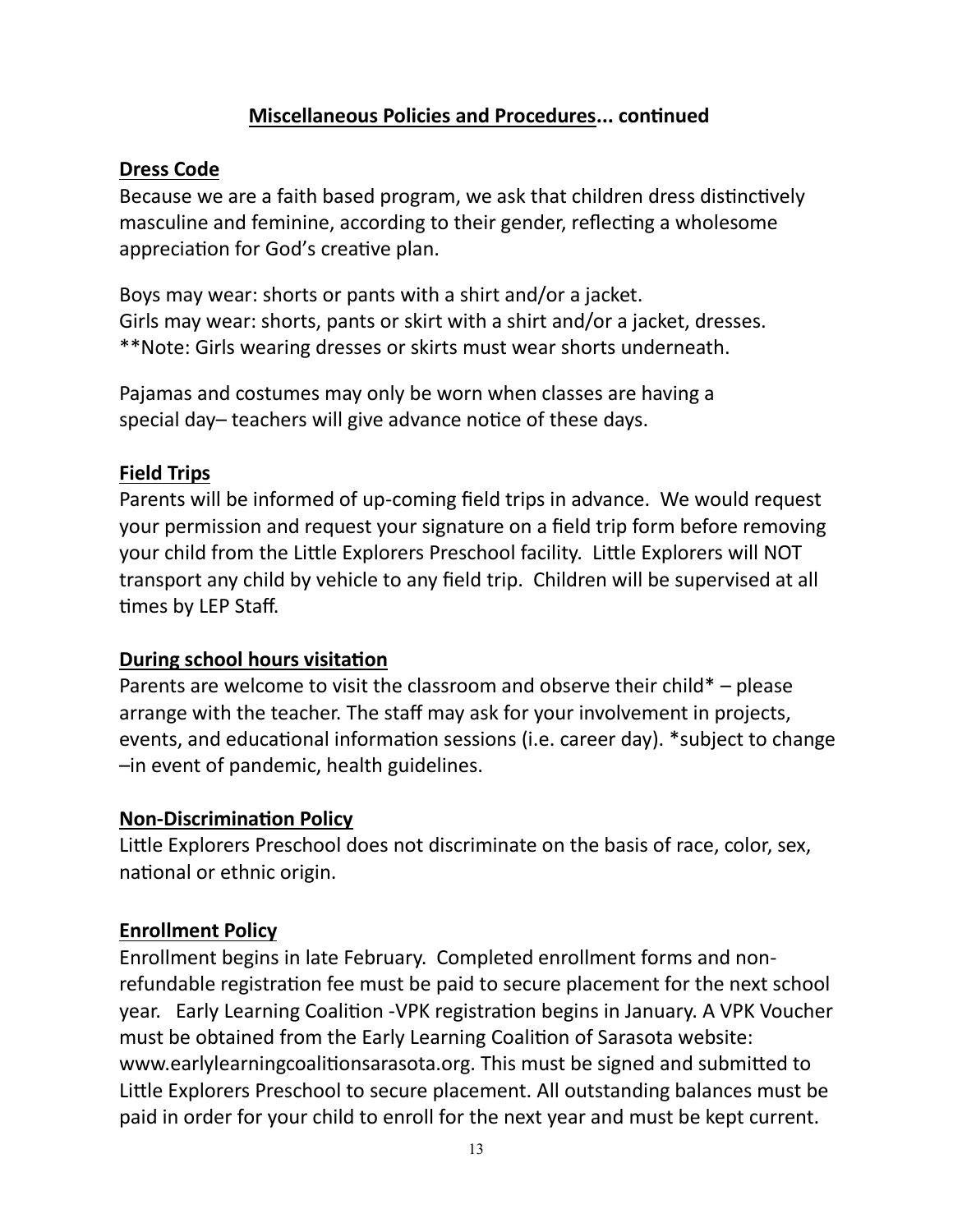### **Miscellaneous Policies and Procedures... continued**

### **Dress Code**

Because we are a faith based program, we ask that children dress distinctively masculine and feminine, according to their gender, reflecting a wholesome appreciation for God's creative plan.

Boys may wear: shorts or pants with a shirt and/or a jacket. Girls may wear: shorts, pants or skirt with a shirt and/or a jacket, dresses. \*\*Note: Girls wearing dresses or skirts must wear shorts underneath.

Pajamas and costumes may only be worn when classes are having a special day– teachers will give advance notice of these days.

#### **Field Trips**

Parents will be informed of up-coming field trips in advance. We would request your permission and request your signature on a field trip form before removing your child from the Little Explorers Preschool facility. Little Explorers will NOT transport any child by vehicle to any field trip. Children will be supervised at all times by LEP Staff.

### **During school hours visitation**

Parents are welcome to visit the classroom and observe their child\* – please arrange with the teacher. The staff may ask for your involvement in projects, events, and educational information sessions (i.e. career day). \*subject to change –in event of pandemic, health guidelines.

#### **Non-Discrimination Policy**

Little Explorers Preschool does not discriminate on the basis of race, color, sex, national or ethnic origin.

#### **Enrollment Policy**

Enrollment begins in late February. Completed enrollment forms and nonrefundable registration fee must be paid to secure placement for the next school year. Early Learning Coalition -VPK registration begins in January. A VPK Voucher must be obtained from the Early Learning Coalition of Sarasota website: www.earlylearningcoalitionsarasota.org. This must be signed and submitted to Little Explorers Preschool to secure placement. All outstanding balances must be paid in order for your child to enroll for the next year and must be kept current.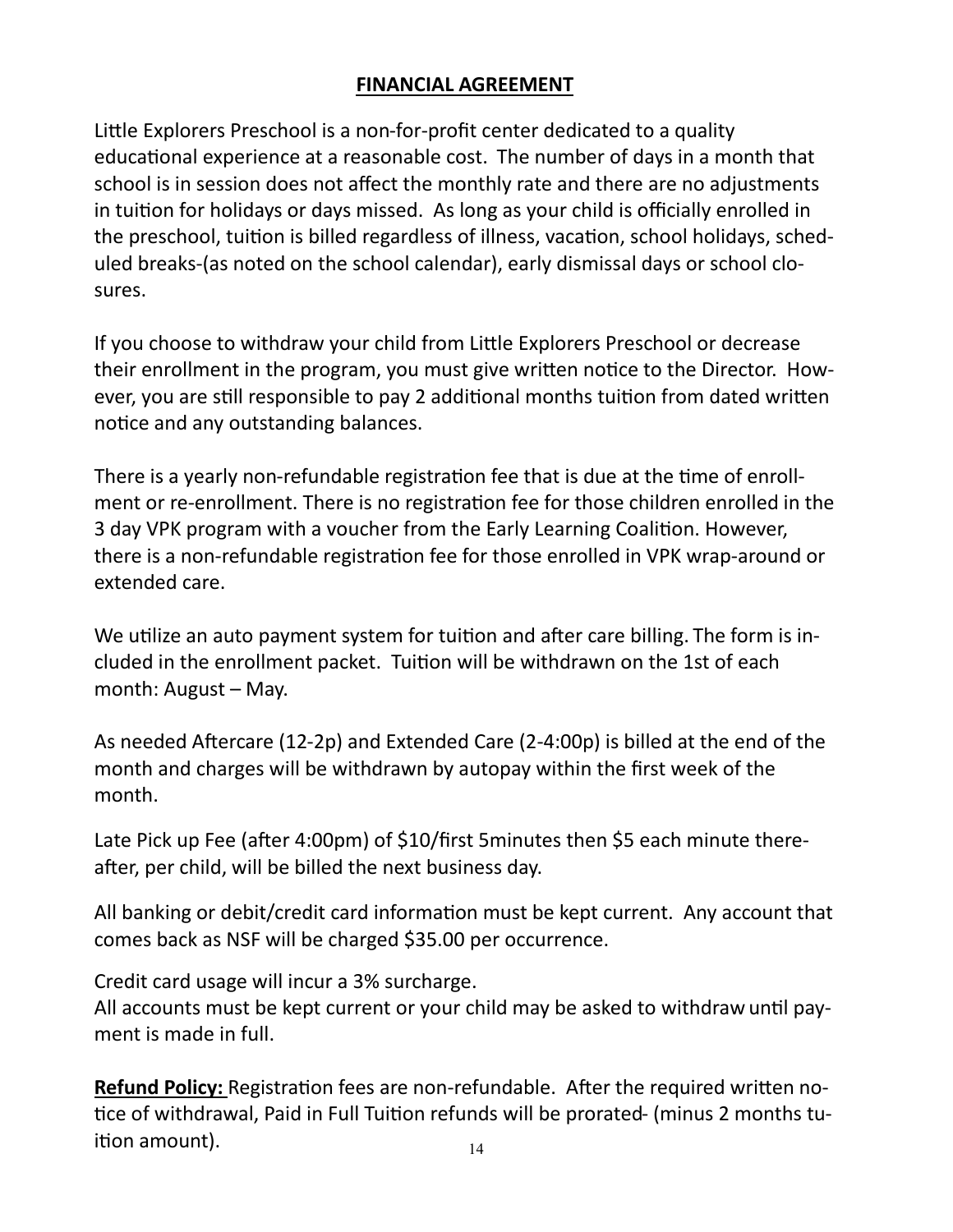### **FINANCIAL AGREEMENT**

Little Explorers Preschool is a non-for-profit center dedicated to a quality educational experience at a reasonable cost. The number of days in a month that school is in session does not affect the monthly rate and there are no adjustments in tuition for holidays or days missed. As long as your child is officially enrolled in the preschool, tuition is billed regardless of illness, vacation, school holidays, scheduled breaks-(as noted on the school calendar), early dismissal days or school closures.

If you choose to withdraw your child from Little Explorers Preschool or decrease their enrollment in the program, you must give written notice to the Director. However, you are still responsible to pay 2 additional months tuition from dated written notice and any outstanding balances.

There is a yearly non-refundable registration fee that is due at the time of enrollment or re-enrollment. There is no registration fee for those children enrolled in the 3 day VPK program with a voucher from the Early Learning Coalition. However, there is a non-refundable registration fee for those enrolled in VPK wrap-around or extended care.

We utilize an auto payment system for tuition and after care billing. The form is included in the enrollment packet. Tuition will be withdrawn on the 1st of each month: August – May.

As needed Aftercare (12-2p) and Extended Care (2-4:00p) is billed at the end of the month and charges will be withdrawn by autopay within the first week of the month.

Late Pick up Fee (after 4:00pm) of \$10/first 5minutes then \$5 each minute thereafter, per child, will be billed the next business day.

All banking or debit/credit card information must be kept current. Any account that comes back as NSF will be charged \$35.00 per occurrence.

Credit card usage will incur a 3% surcharge.

All accounts must be kept current or your child may be asked to withdraw until payment is made in full.

**Refund Policy:** Registration fees are non-refundable. After the required written notice of withdrawal, Paid in Full Tuition refunds will be prorated- (minus 2 months tuition amount).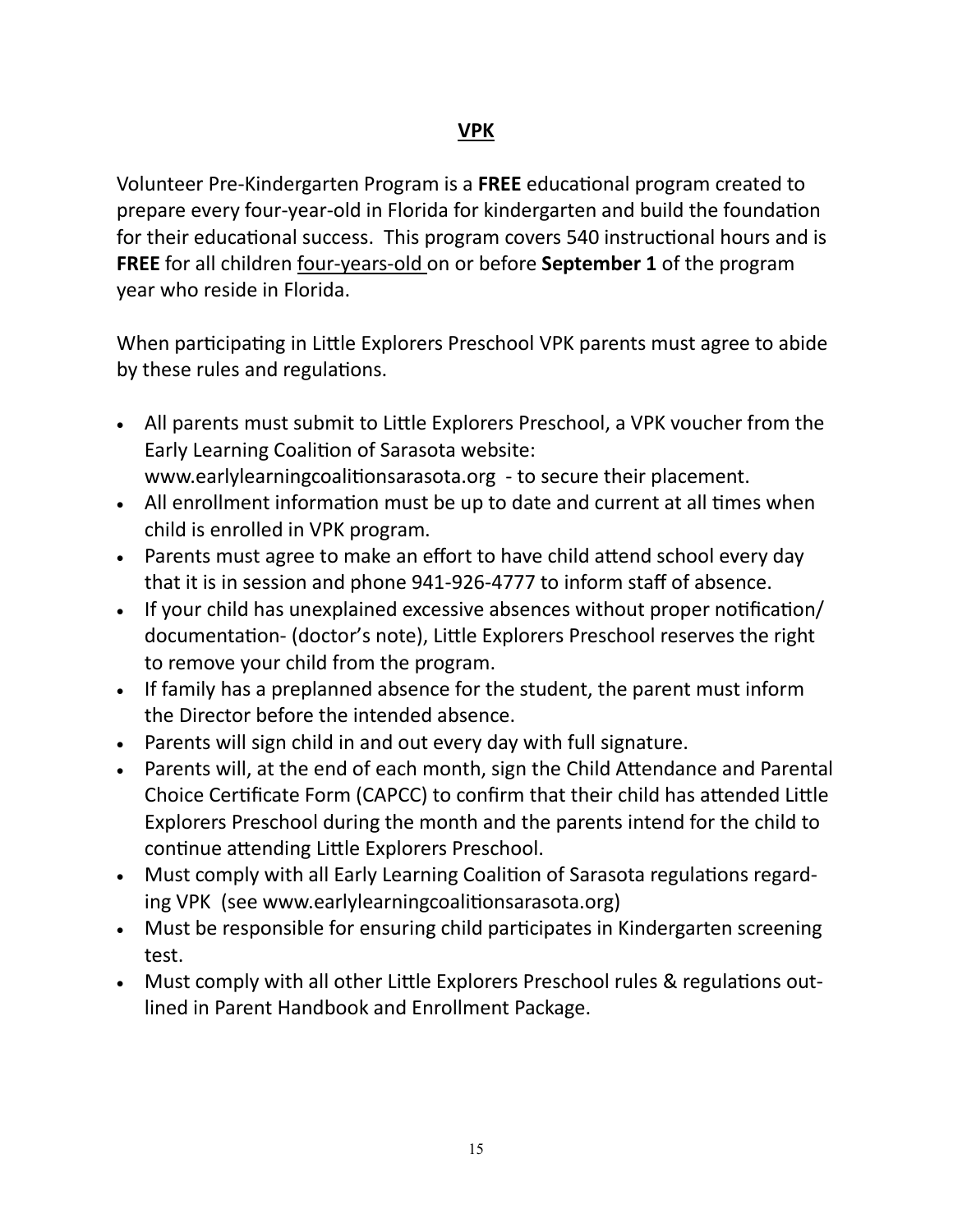### **VPK**

Volunteer Pre-Kindergarten Program is a **FREE** educational program created to prepare every four-year-old in Florida for kindergarten and build the foundation for their educational success. This program covers 540 instructional hours and is **FREE** for all children four-years-old on or before **September 1** of the program year who reside in Florida.

When participating in Little Explorers Preschool VPK parents must agree to abide by these rules and regulations.

- All parents must submit to Little Explorers Preschool, a VPK voucher from the Early Learning Coalition of Sarasota website: www.earlylearningcoalitionsarasota.org - to secure their placement.
- All enrollment information must be up to date and current at all times when child is enrolled in VPK program.
- Parents must agree to make an effort to have child attend school every day that it is in session and phone 941-926-4777 to inform staff of absence.
- If your child has unexplained excessive absences without proper notification/ documentation- (doctor's note), Little Explorers Preschool reserves the right to remove your child from the program.
- If family has a preplanned absence for the student, the parent must inform the Director before the intended absence.
- Parents will sign child in and out every day with full signature.
- Parents will, at the end of each month, sign the Child Attendance and Parental Choice Certificate Form (CAPCC) to confirm that their child has attended Little Explorers Preschool during the month and the parents intend for the child to continue attending Little Explorers Preschool.
- Must comply with all Early Learning Coalition of Sarasota regulations regarding VPK (see www.earlylearningcoalitionsarasota.org)
- Must be responsible for ensuring child participates in Kindergarten screening test.
- Must comply with all other Little Explorers Preschool rules & regulations outlined in Parent Handbook and Enrollment Package.